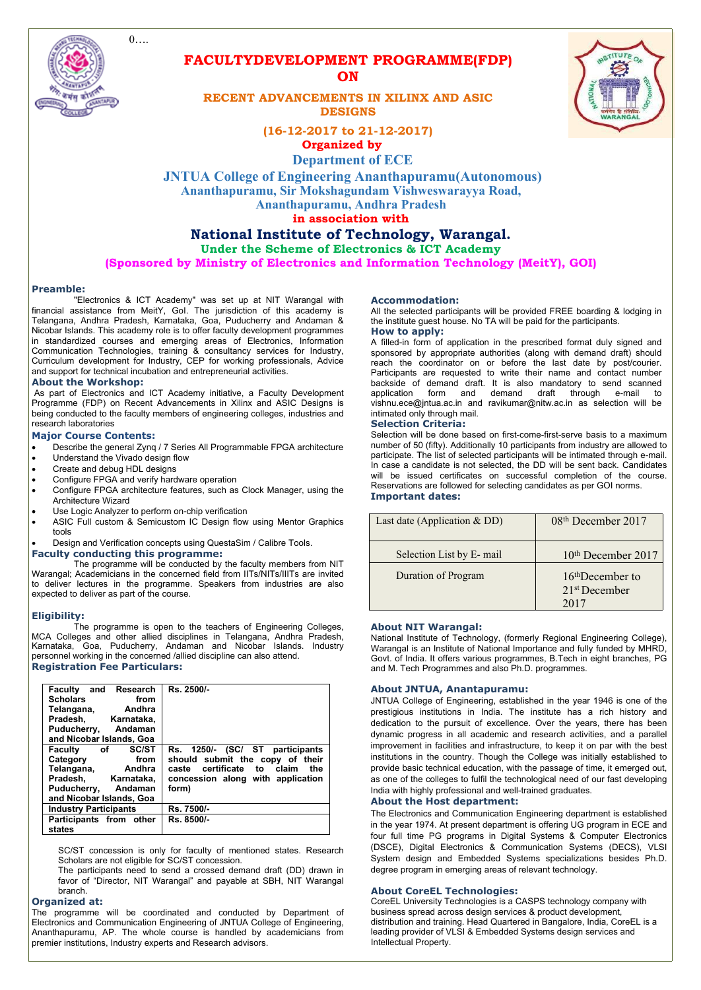$\mathbf{0}$ 

### **FACULTYDEVELOPMENT PROGRAMME(FDP) ON**

**RECENT ADVANCEMENTS IN XILINX AND ASIC DESIGNS**

**(16-12-2017 to 21-12-2017)**

### **Organized by**

**Department of ECE**

**JNTUA College of Engineering Ananthapuramu(Autonomous) Ananthapuramu, Sir Mokshagundam Vishweswarayya Road,** 

**Ananthapuramu, Andhra Pradesh**

**in association with**

### **National Institute of Technology, Warangal.**

**Under the Scheme of Electronics & ICT Academy**

**(Sponsored by Ministry of Electronics and Information Technology (MeitY), GOI)**

#### **Preamble:**

"Electronics & ICT Academy" was set up at NIT Warangal with financial assistance from MeitY, GoI. The jurisdiction of this academy is Telangana, Andhra Pradesh, Karnataka, Goa, Puducherry and Andaman & Nicobar Islands. This academy role is to offer faculty development programmes in standardized courses and emerging areas of Electronics, Information Communication Technologies, training & consultancy services for Industry, Curriculum development for Industry, CEP for working professionals, Advice and support for technical incubation and entrepreneurial activities.

#### **About the Workshop:**

 As part of Electronics and ICT Academy initiative, a Faculty Development Programme (FDP) on Recent Advancements in Xilinx and ASIC Designs is being conducted to the faculty members of engineering colleges, industries and research laboratories

#### **Major Course Contents:**

- Describe the general Zynq / 7 Series All Programmable FPGA architecture
- Understand the Vivado design flow
- Create and debug HDL designs
- Configure FPGA and verify hardware operation
- Configure FPGA architecture features, such as Clock Manager, using the Architecture Wizard
- Use Logic Analyzer to perform on-chip verification
- ASIC Full custom & Semicustom IC Design flow using Mentor Graphics tools
- Design and Verification concepts using QuestaSim / Calibre Tools.

#### **Faculty conducting this programme:**

The programme will be conducted by the faculty members from NIT Warangal; Academicians in the concerned field from IITs/NITs/IIITs are invited to deliver lectures in the programme. Speakers from industries are also expected to deliver as part of the course.

#### **Eligibility:**

The programme is open to the teachers of Engineering Colleges, MCA Colleges and other allied disciplines in Telangana, Andhra Pradesh, Karnataka, Goa, Puducherry, Andaman and Nicobar Islands. Industry personnel working in the concerned /allied discipline can also attend. **Registration Fee Particulars:**

#### **Faculty and Research Scholars** from<br>Telangana, Andhra **Telangana, Pradesh, Karnataka, Puducherry, and Nicobar Islands, Goa Rs. 2500/- Faculty** of **SC/ST**<br>Category from **Category from**<br>Telangana, Andhra Telangana,<br>Pradesh, **Karnataka,<br>Andaman** Puducherry, **and Nicobar Islands, Goa Rs. 1250/- (SC/ ST participants should submit the copy of their caste certificate to claim the concession along with application form) Industry Participants Rs. 7500/-Participants from other states Rs. 8500/-**

SC/ST concession is only for faculty of mentioned states. Research Scholars are not eligible for SC/ST concession.

The participants need to send a crossed demand draft (DD) drawn in favor of "Director, NIT Warangal" and payable at SBH, NIT Warangal branch.

#### **Organized at:**

The programme will be coordinated and conducted by Department of Electronics and Communication Engineering of JNTUA College of Engineering, Ananthapuramu, AP. The whole course is handled by academicians from premier institutions, Industry experts and Research advisors.

#### **Accommodation:**

All the selected participants will be provided FREE boarding & lodging in the institute guest house. No TA will be paid for the participants.

### **How to apply:**

A filled-in form of application in the prescribed format duly signed and sponsored by appropriate authorities (along with demand draft) should reach the coordinator on or before the last date by post/courier. Participants are requested to write their name and contact number backside of demand draft. It is also mandatory to send scanned application form and demand draft through e-mail to vishnu.ece@jntua.ac.in and [ravikumar@nitw.ac.in](mailto:ravikumar@nitw.ac.in) as selection will be intimated only through mail.

#### **Selection Criteria:**

Selection will be done based on first-come-first-serve basis to a maximum number of 50 (fifty). Additionally 10 participants from industry are allowed to participate. The list of selected participants will be intimated through e-mail. In case a candidate is not selected, the DD will be sent back. Candidates will be issued certificates on successful completion of the course. Reservations are followed for selecting candidates as per GOI norms. **Important dates:**

| Last date (Application $&$ DD) | 08 <sup>th</sup> December 2017                          |  |
|--------------------------------|---------------------------------------------------------|--|
| Selection List by E- mail      | 10 <sup>th</sup> December 2017                          |  |
| Duration of Program            | $16th$ December to<br>21 <sup>st</sup> December<br>2017 |  |

#### **About NIT Warangal:**

National Institute of Technology, (formerly Regional Engineering College), Warangal is an Institute of National Importance and fully funded by MHRD, Govt. of India. It offers various programmes, B.Tech in eight branches, PG and M. Tech Programmes and also Ph.D. programmes.

#### **About JNTUA, Anantapuramu:**

JNTUA College of Engineering, established in the year 1946 is one of the prestigious institutions in India. The institute has a rich history and dedication to the pursuit of excellence. Over the years, there has been dynamic progress in all academic and research activities, and a parallel improvement in facilities and infrastructure, to keep it on par with the best institutions in the country. Though the College was initially established to provide basic technical education, with the passage of time, it emerged out, as one of the colleges to fulfil the technological need of our fast developing India with highly professional and well-trained graduates.

### **About the Host department:**

The Electronics and Communication Engineering department is established in the year 1974. At present department is offering UG program in ECE and four full time PG programs in Digital Systems & Computer Electronics (DSCE), Digital Electronics & Communication Systems (DECS), VLSI System design and Embedded Systems specializations besides Ph.D. degree program in emerging areas of relevant technology.

#### **About CoreEL Technologies:**

CoreEL University Technologies is a CASPS technology company with business spread across design services & product development, distribution and training. Head Quartered in Bangalore, India, CoreEL is a leading provider of VLSI & Embedded Systems design services and Intellectual Property.